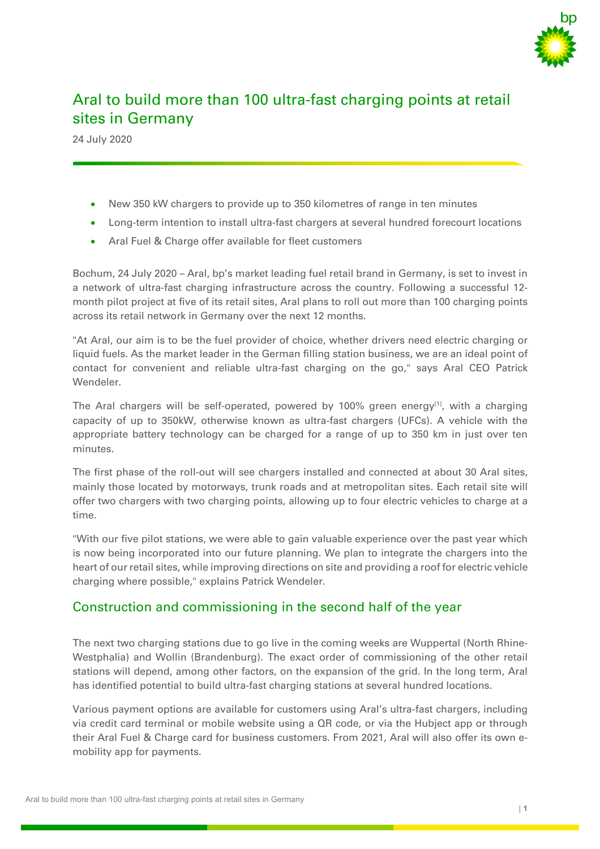

# Aral to build more than 100 ultra-fast charging points at retail sites in Germany

24 July 2020

- New 350 kW chargers to provide up to 350 kilometres of range in ten minutes
- Long-term intention to install ultra-fast chargers at several hundred forecourt locations
- Aral Fuel & Charge offer available for fleet customers

Bochum, 24 July 2020 – Aral, bp's market leading fuel retail brand in Germany, is set to invest in a network of ultra-fast charging infrastructure across the country. Following a successful 12 month pilot project at five of its retail sites, Aral plans to roll out more than 100 charging points across its retail network in Germany over the next 12 months.

"At Aral, our aim is to be the fuel provider of choice, whether drivers need electric charging or liquid fuels. As the market leader in the German filling station business, we are an ideal point of contact for convenient and reliable ultra-fast charging on the go," says Aral CEO Patrick Wendeler.

The Aral chargers will be self-operated, powered by 100% green energy<sup>[1]</sup>, with a charging capacity of up to 350kW, otherwise known as ultra-fast chargers (UFCs). A vehicle with the appropriate battery technology can be charged for a range of up to 350 km in just over ten minutes.

The first phase of the roll-out will see chargers installed and connected at about 30 Aral sites, mainly those located by motorways, trunk roads and at metropolitan sites. Each retail site will offer two chargers with two charging points, allowing up to four electric vehicles to charge at a time.

"With our five pilot stations, we were able to gain valuable experience over the past year which is now being incorporated into our future planning. We plan to integrate the chargers into the heart of our retail sites, while improving directions on site and providing a roof for electric vehicle charging where possible," explains Patrick Wendeler.

## Construction and commissioning in the second half of the year

The next two charging stations due to go live in the coming weeks are Wuppertal (North Rhine-Westphalia) and Wollin (Brandenburg). The exact order of commissioning of the other retail stations will depend, among other factors, on the expansion of the grid. In the long term, Aral has identified potential to build ultra-fast charging stations at several hundred locations.

Various payment options are available for customers using Aral's ultra-fast chargers, including via credit card terminal or mobile website using a QR code, or via the Hubject app or through their Aral Fuel & Charge card for business customers. From 2021, Aral will also offer its own emobility app for payments.